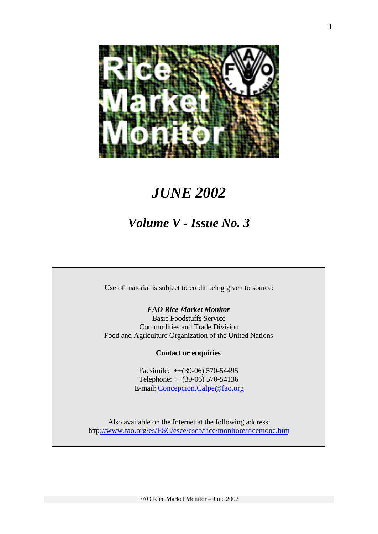

# *JUNE 2002*

# *Volume V - Issue No. 3*

Use of material is subject to credit being given to source:

*FAO Rice Market Monitor* Basic Foodstuffs Service Commodities and Trade Division Food and Agriculture Organization of the United Nations

#### **Contact or enquiries**

Facsimile: ++(39-06) 570-54495 Telephone: ++(39-06) 570-54136 E-mail: Concepcion.Calpe@fao.org

Also available on the Internet at the following address: http://www.fao.org/es/ESC/esce/escb/rice/monitore/ricemone.htm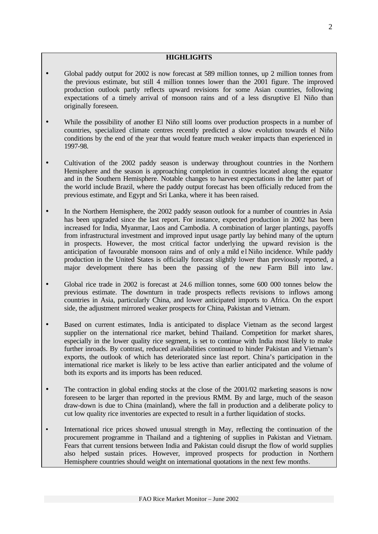#### **HIGHLIGHTS**

- Global paddy output for 2002 is now forecast at 589 million tonnes, up 2 million tonnes from the previous estimate, but still 4 million tonnes lower than the 2001 figure. The improved production outlook partly reflects upward revisions for some Asian countries, following expectations of a timely arrival of monsoon rains and of a less disruptive El Niño than originally foreseen.
- While the possibility of another El Niño still looms over production prospects in a number of countries, specialized climate centres recently predicted a slow evolution towards el Niño conditions by the end of the year that would feature much weaker impacts than experienced in 1997-98.
- Cultivation of the 2002 paddy season is underway throughout countries in the Northern Hemisphere and the season is approaching completion in countries located along the equator and in the Southern Hemisphere. Notable changes to harvest expectations in the latter part of the world include Brazil, where the paddy output forecast has been officially reduced from the previous estimate, and Egypt and Sri Lanka, where it has been raised.
- In the Northern Hemisphere, the 2002 paddy season outlook for a number of countries in Asia has been upgraded since the last report. For instance, expected production in 2002 has been increased for India, Myanmar, Laos and Cambodia. A combination of larger plantings, payoffs from infrastructural investment and improved input usage partly lay behind many of the upturn in prospects. However, the most critical factor underlying the upward revision is the anticipation of favourable monsoon rains and of only a mild el Niño incidence. While paddy production in the United States is officially forecast slightly lower than previously reported, a major development there has been the passing of the new Farm Bill into law.
- Global rice trade in 2002 is forecast at 24.6 million tonnes, some 600 000 tonnes below the previous estimate. The downturn in trade prospects reflects revisions to inflows among countries in Asia, particularly China, and lower anticipated imports to Africa. On the export side, the adjustment mirrored weaker prospects for China, Pakistan and Vietnam.
- Based on current estimates, India is anticipated to displace Vietnam as the second largest supplier on the international rice market, behind Thailand. Competition for market shares, especially in the lower quality rice segment, is set to continue with India most likely to make further inroads. By contrast, reduced availabilities continued to hinder Pakistan and Vietnam's exports, the outlook of which has deteriorated since last report. China's participation in the international rice market is likely to be less active than earlier anticipated and the volume of both its exports and its imports has been reduced.
- The contraction in global ending stocks at the close of the 2001/02 marketing seasons is now foreseen to be larger than reported in the previous RMM. By and large, much of the season draw-down is due to China (mainland), where the fall in production and a deliberate policy to cut low quality rice inventories are expected to result in a further liquidation of stocks.
- International rice prices showed unusual strength in May, reflecting the continuation of the procurement programme in Thailand and a tightening of supplies in Pakistan and Vietnam. Fears that current tensions between India and Pakistan could disrupt the flow of world supplies also helped sustain prices. However, improved prospects for production in Northern Hemisphere countries should weight on international quotations in the next few months.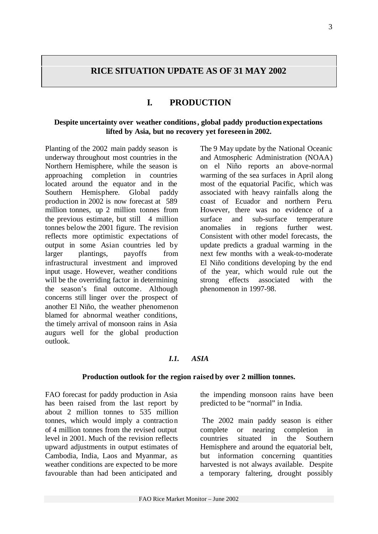### **RICE SITUATION UPDATE AS OF 31 MAY 2002**

### **I. PRODUCTION**

### **Despite uncertainty over weather conditions, global paddy production expectations lifted by Asia, but no recovery yet foreseen in 2002.**

Planting of the 2002 main paddy season is underway throughout most countries in the Northern Hemisphere, while the season is approaching completion in countries located around the equator and in the Southern Hemisphere. Global paddy production in 2002 is now forecast at 589 million tonnes, up 2 million tonnes from the previous estimate, but still 4 million tonnes below the 2001 figure. The revision reflects more optimistic expectations of output in some Asian countries led by larger plantings, payoffs from infrastructural investment and improved input usage. However, weather conditions will be the overriding factor in determining the season's final outcome. Although concerns still linger over the prospect of another El Niño, the weather phenomenon blamed for abnormal weather conditions, the timely arrival of monsoon rains in Asia augurs well for the global production outlook.

The 9 May update by the National Oceanic and Atmospheric Administration (NOAA) on el Niño reports an above-normal warming of the sea surfaces in April along most of the equatorial Pacific, which was associated with heavy rainfalls along the coast of Ecuador and northern Peru. However, there was no evidence of a surface and sub-surface temperature anomalies in regions further west. Consistent with other model forecasts, the update predicts a gradual warming in the next few months with a weak-to-moderate El Niño conditions developing by the end of the year, which would rule out the strong effects associated with the phenomenon in 1997-98.

#### *I.1. ASIA*

#### **Production outlook for the region raised by over 2 million tonnes.**

FAO forecast for paddy production in Asia has been raised from the last report by about 2 million tonnes to 535 million tonnes, which would imply a contraction of 4 million tonnes from the revised output level in 2001. Much of the revision reflects upward adjustments in output estimates of Cambodia, India, Laos and Myanmar, as weather conditions are expected to be more favourable than had been anticipated and

the impending monsoon rains have been predicted to be "normal" in India.

The 2002 main paddy season is either complete or nearing completion in countries situated in the Southern Hemisphere and around the equatorial belt, but information concerning quantities harvested is not always available. Despite a temporary faltering, drought possibly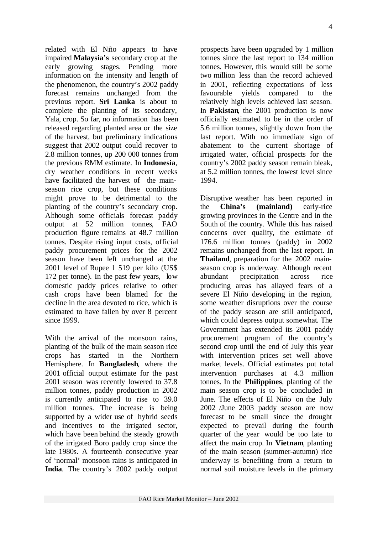related with El Niño appears to have impaired **Malaysia's** secondary crop at the early growing stages. Pending more information on the intensity and length of the phenomenon, the country's 2002 paddy forecast remains unchanged from the previous report. **Sri Lanka** is about to complete the planting of its secondary, Yala, crop. So far, no information has been released regarding planted area or the size of the harvest, but preliminary indications suggest that 2002 output could recover to 2.8 million tonnes, up 200 000 tonnes from the previous RMM estimate. In **Indonesia**, dry weather conditions in recent weeks have facilitated the harvest of the mainseason rice crop, but these conditions might prove to be detrimental to the planting of the country's secondary crop. Although some officials forecast paddy output at 52 million tonnes, FAO production figure remains at 48.7 million tonnes. Despite rising input costs, official paddy procurement prices for the 2002 season have been left unchanged at the 2001 level of Rupee 1 519 per kilo (US\$ 172 per tonne). In the past few years, low domestic paddy prices relative to other cash crops have been blamed for the decline in the area devoted to rice, which is estimated to have fallen by over 8 percent since 1999.

With the arrival of the monsoon rains, planting of the bulk of the main season rice crops has started in the Northern Hemisphere. In **Bangladesh**, where the 2001 official output estimate for the past 2001 season was recently lowered to 37.8 million tonnes, paddy production in 2002 is currently anticipated to rise to 39.0 million tonnes. The increase is being supported by a wider use of hybrid seeds and incentives to the irrigated sector, which have been behind the steady growth of the irrigated Boro paddy crop since the late 1980s. A fourteenth consecutive year of 'normal' monsoon rains is anticipated in **India**. The country's 2002 paddy output

prospects have been upgraded by 1 million tonnes since the last report to 134 million tonnes. However, this would still be some two million less than the record achieved in 2001, reflecting expectations of less favourable yields compared to the relatively high levels achieved last season. In **Pakistan**, the 2001 production is now officially estimated to be in the order of 5.6 million tonnes, slightly down from the last report. With no immediate sign of abatement to the current shortage of irrigated water, official prospects for the country's 2002 paddy season remain bleak, at 5.2 million tonnes, the lowest level since 1994.

Disruptive weather has been reported in the **China's (mainland)** early-rice growing provinces in the Centre and in the South of the country. While this has raised concerns over quality, the estimate of 176.6 million tonnes (paddy) in 2002 remains unchanged from the last report. In **Thailand**, preparation for the 2002 mainseason crop is underway. Although recent abundant precipitation across rice producing areas has allayed fears of a severe El Niño developing in the region, some weather disruptions over the course of the paddy season are still anticipated, which could depress output somewhat. The Government has extended its 2001 paddy procurement program of the country's second crop until the end of July this year with intervention prices set well above market levels. Official estimates put total intervention purchases at 4.3 million tonnes. In the **Philippines**, planting of the main season crop is to be concluded in June. The effects of El Niño on the July 2002 /June 2003 paddy season are now forecast to be small since the drought expected to prevail during the fourth quarter of the year would be too late to affect the main crop. In **Vietnam**, planting of the main season (summer-autumn) rice underway is benefiting from a return to normal soil moisture levels in the primary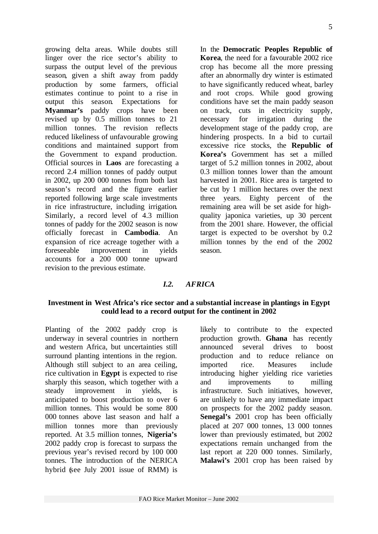growing delta areas. While doubts still linger over the rice sector's ability to surpass the output level of the previous season, given a shift away from paddy production by some farmers, official estimates continue to point to a rise in output this season. Expectations for **Myanmar's** paddy crops have been revised up by 0.5 million tonnes to 21 million tonnes. The revision reflects reduced likeliness of unfavourable growing conditions and maintained support from the Government to expand production. Official sources in **Laos** are forecasting a record 2.4 million tonnes of paddy output in 2002, up 200 000 tonnes from both last season's record and the figure earlier reported following large scale investments in rice infrastructure, including irrigation. Similarly, a record level of 4.3 million tonnes of paddy for the 2002 season is now officially forecast in **Cambodia**. An expansion of rice acreage together with a foreseeable improvement in yields accounts for a 200 000 tonne upward revision to the previous estimate.

In the **Democratic Peoples Republic of Korea**, the need for a favourable 2002 rice crop has become all the more pressing after an abnormally dry winter is estimated to have significantly reduced wheat, barley and root crops. While good growing conditions have set the main paddy season on track, cuts in electricity supply, necessary for irrigation during the development stage of the paddy crop, are hindering prospects. In a bid to curtail excessive rice stocks, the **Republic of Korea's** Government has set a milled target of 5.2 million tonnes in 2002, about 0.3 million tonnes lower than the amount harvested in 2001. Rice area is targeted to be cut by 1 million hectares over the next three years. Eighty percent of the remaining area will be set aside for highquality japonica varieties, up 30 percent from the 2001 share. However, the official target is expected to be overshot by 0.2 million tonnes by the end of the 2002 season.

#### *I.2. AFRICA*

#### **Investment in West Africa's rice sector and a substantial increase in plantings in Egypt could lead to a record output for the continent in 2002**

Planting of the 2002 paddy crop is underway in several countries in northern and western Africa, but uncertainties still surround planting intentions in the region. Although still subject to an area ceiling, rice cultivation in **Egypt** is expected to rise sharply this season, which together with a steady improvement in yields, is anticipated to boost production to over 6 million tonnes. This would be some 800 000 tonnes above last season and half a million tonnes more than previously reported. At 3.5 million tonnes, **Nigeria's** 2002 paddy crop is forecast to surpass the previous year's revised record by 100 000 tonnes. The introduction of the NERICA hybrid (see July 2001 issue of RMM) is

likely to contribute to the expected production growth. **Ghana** has recently announced several drives to boost production and to reduce reliance on imported rice. Measures include introducing higher yielding rice varieties and improvements to milling infrastructure. Such initiatives, however, are unlikely to have any immediate impact on prospects for the 2002 paddy season. **Senegal's** 2001 crop has been officially placed at 207 000 tonnes, 13 000 tonnes lower than previously estimated, but 2002 expectations remain unchanged from the last report at 220 000 tonnes. Similarly, **Malawi's** 2001 crop has been raised by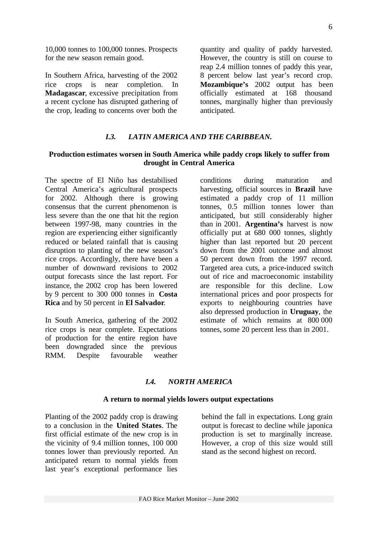10,000 tonnes to 100,000 tonnes. Prospects for the new season remain good.

In Southern Africa, harvesting of the 2002 rice crops is near completion. In **Madagascar**, excessive precipitation from a recent cyclone has disrupted gathering of the crop, leading to concerns over both the

quantity and quality of paddy harvested. However, the country is still on course to reap 2.4 million tonnes of paddy this year, 8 percent below last year's record crop. **Mozambique's** 2002 output has been officially estimated at 168 thousand tonnes, marginally higher than previously anticipated.

### *I.3. LATIN AMERICA AND THE CARIBBEAN.*

#### **Production estimates worsen in South America while paddy crops likely to suffer from drought in Central America**

The spectre of El Niño has destabilised Central America's agricultural prospects for 2002. Although there is growing consensus that the current phenomenon is less severe than the one that hit the region between 1997-98, many countries in the region are experiencing either significantly reduced or belated rainfall that is causing disruption to planting of the new season's rice crops. Accordingly, there have been a number of downward revisions to 2002 output forecasts since the last report. For instance, the 2002 crop has been lowered by 9 percent to 300 000 tonnes in **Costa Rica** and by 50 percent in **El Salvador**.

In South America, gathering of the 2002 rice crops is near complete. Expectations of production for the entire region have been downgraded since the previous RMM. Despite favourable weather conditions during maturation and harvesting, official sources in **Brazil** have estimated a paddy crop of 11 million tonnes, 0.5 million tonnes lower than anticipated, but still considerably higher than in 2001. **Argentina's** harvest is now officially put at 680 000 tonnes, slightly higher than last reported but 20 percent down from the 2001 outcome and almost 50 percent down from the 1997 record. Targeted area cuts, a price-induced switch out of rice and macroeconomic instability are responsible for this decline. Low international prices and poor prospects for exports to neighbouring countries have also depressed production in **Uruguay**, the estimate of which remains at 800 000 tonnes, some 20 percent less than in 2001.

#### *I.4. NORTH AMERICA*

#### **A return to normal yields lowers output expectations**

Planting of the 2002 paddy crop is drawing to a conclusion in the **United States**. The first official estimate of the new crop is in the vicinity of 9.4 million tonnes, 100 000 tonnes lower than previously reported. An anticipated return to normal yields from last year's exceptional performance lies

behind the fall in expectations. Long grain output is forecast to decline while japonica production is set to marginally increase. However, a crop of this size would still stand as the second highest on record.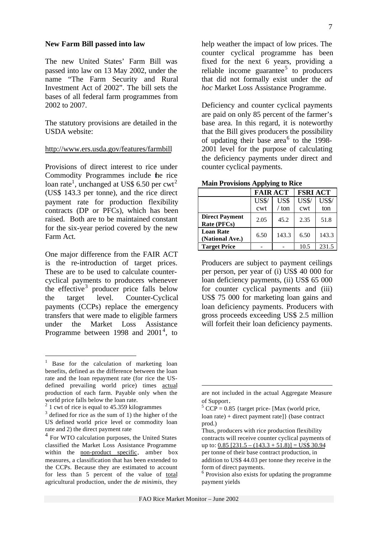#### **New Farm Bill passed into law**

The new United States' Farm Bill was passed into law on 13 May 2002, under the name "The Farm Security and Rural Investment Act of 2002". The bill sets the bases of all federal farm programmes from 2002 to 2007.

The statutory provisions are detailed in the USDA website:

#### http://www.ers.usda.gov/features/farmbill

Provisions of direct interest to rice under Commodity Programmes include the rice loan rate<sup>1</sup>, unchanged at US\$ 6.50 per cwt<sup>2</sup> (US\$ 143.3 per tonne), and the rice direct payment rate for production flexibility contracts (DP or PFCs), which has been raised. Both are to be maintained constant for the six-year period covered by the new Farm Act.

One major difference from the FAIR ACT is the re-introduction of target prices. These are to be used to calculate countercyclical payments to producers whenever the effective<sup>3</sup> producer price falls below the target level. Counter-Cyclical payments (CCPs) replace the emergency transfers that were made to eligible farmers under the Market Loss Assistance Programme between 1998 and  $2001^4$ , to

l

help weather the impact of low prices. The counter cyclical programme has been fixed for the next 6 years, providing a reliable income guarantee<sup>5</sup> to producers that did not formally exist under the *ad hoc* Market Loss Assistance Programme.

Deficiency and counter cyclical payments are paid on only 85 percent of the farmer's base area. In this regard, it is noteworthy that the Bill gives producers the possibility of updating their base area<sup>6</sup> to the 1998-2001 level for the purpose of calculating the deficiency payments under direct and counter cyclical payments.

**Main Provisions Applying to Rice**

|                                      | <b>FAIR ACT</b> |       | <b>FSRI ACT</b> |              |  |  |  |
|--------------------------------------|-----------------|-------|-----------------|--------------|--|--|--|
|                                      | <b>US\$/</b>    | US\$  | <b>US\$/</b>    | <b>US\$/</b> |  |  |  |
|                                      | cwt             | / ton | cwt             | ton          |  |  |  |
| <b>Direct Payment</b><br>Rate (PFCs) | 2.05            | 45.2  | 2.35            | 51.8         |  |  |  |
| <b>Loan Rate</b><br>(National Ave.)  | 6.50            | 143.3 | 6.50            | 143.3        |  |  |  |
| <b>Target Price</b>                  |                 |       | 10.5            | 231.5        |  |  |  |

Producers are subject to payment ceilings per person, per year of (i) US\$ 40 000 for loan deficiency payments, (ii) US\$ 65 000 for counter cyclical payments and (iii) US\$ 75 000 for marketing loan gains and loan deficiency payments. Producers with gross proceeds exceeding US\$ 2.5 million will forfeit their loan deficiency payments.

l

<sup>1</sup> Base for the calculation of marketing loan benefits, defined as the difference between the loan rate and the loan repayment rate (for rice the USdefined prevailing world price) times actual production of each farm. Payable only when the world price falls below the loan rate.

<sup>&</sup>lt;sup>2</sup> 1 cwt of rice is equal to 45.359 kilogrammes

 $3$  defined for rice as the sum of 1) the higher of the US defined world price level or commodity loan rate and 2) the direct payment rate

<sup>4</sup> For WTO calculation purposes, the United States classified the Market Loss Assistance Programme within the **non-product** specific, amber box measures, a classification that has been extended to the CCPs. Because they are estimated to account for less than 5 percent of the value of total agricultural production, under the *de minimis,* they

are not included in the actual Aggregate Measure of Support.

 $5$  CCP = 0.85 {target price- [Max (world price, loan rate) + direct payment rate]} (base contract prod.)

Thus, producers with rice production flexibility contracts will receive counter cyclical payments of up to:  $0.85$  [231.5 –  $(143.3 + 51.8)$ ] = US\$ 30.94 per tonne of their base contract production, in addition to US\$ 44.03 per tonne they receive in the form of direct payments.

<sup>&</sup>lt;sup>6</sup> Provision also exists for updating the programme payment yields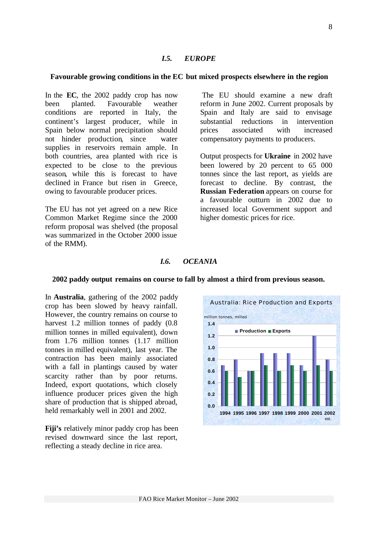#### *I.5. EUROPE*

#### **Favourable growing conditions in the EC but mixed prospects elsewhere in the region**

In the **EC**, the 2002 paddy crop has now been planted. Favourable weather conditions are reported in Italy, the continent's largest producer, while in Spain below normal precipitation should not hinder production, since water supplies in reservoirs remain ample. In both countries, area planted with rice is expected to be close to the previous season, while this is forecast to have declined in France but risen in Greece, owing to favourable producer prices.

The EU has not yet agreed on a new Rice Common Market Regime since the 2000 reform proposal was shelved (the proposal was summarized in the October 2000 issue of the RMM).

 The EU should examine a new draft reform in June 2002. Current proposals by Spain and Italy are said to envisage substantial reductions in intervention prices associated with increased compensatory payments to producers.

Output prospects for **Ukraine** in 2002 have been lowered by 20 percent to 65 000 tonnes since the last report, as yields are forecast to decline. By contrast, the **Russian Federation** appears on course for a favourable outturn in 2002 due to increased local Government support and higher domestic prices for rice.

#### *I.6. OCEANIA*

#### **2002 paddy output remains on course to fall by almost a third from previous season.**

In **Australia**, gathering of the 2002 paddy crop has been slowed by heavy rainfall. However, the country remains on course to harvest 1.2 million tonnes of paddy  $(0.8)$ million tonnes in milled equivalent), down from 1.76 million tonnes (1.17 million tonnes in milled equivalent), last year. The contraction has been mainly associated with a fall in plantings caused by water scarcity rather than by poor returns. Indeed, export quotations, which closely influence producer prices given the high share of production that is shipped abroad, held remarkably well in 2001 and 2002.

**Fiji's** relatively minor paddy crop has been revised downward since the last report, reflecting a steady decline in rice area.

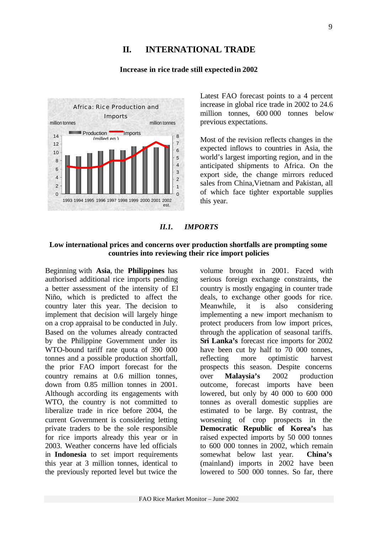### **II. INTERNATIONAL TRADE**

#### **Increase in rice trade still expected in 2002**



Latest FAO forecast points to a 4 percent increase in global rice trade in 2002 to 24.6 million tonnes, 600 000 tonnes below previous expectations.

Most of the revision reflects changes in the expected inflows to countries in Asia, the world's largest importing region, and in the anticipated shipments to Africa. On the export side, the change mirrors reduced sales from China,Vietnam and Pakistan, all of which face tighter exportable supplies this year.

#### *II.1. IMPORTS*

#### **Low international prices and concerns over production shortfalls are prompting some countries into reviewing their rice import policies**

Beginning with **Asia**, the **Philippines** has authorised additional rice imports pending a better assessment of the intensity of El Niño, which is predicted to affect the country later this year. The decision to implement that decision will largely hinge on a crop appraisal to be conducted in July. Based on the volumes already contracted by the Philippine Government under its WTO-bound tariff rate quota of 390 000 tonnes and a possible production shortfall, the prior FAO import forecast for the country remains at 0.6 million tonnes, down from 0.85 million tonnes in 2001. Although according its engagements with WTO, the country is not committed to liberalize trade in rice before 2004, the current Government is considering letting private traders to be the sole responsible for rice imports already this year or in 2003. Weather concerns have led officials in **Indonesia** to set import requirements this year at 3 million tonnes, identical to the previously reported level but twice the

volume brought in 2001. Faced with serious foreign exchange constraints, the country is mostly engaging in counter trade deals, to exchange other goods for rice. Meanwhile, it is also considering implementing a new import mechanism to protect producers from low import prices, through the application of seasonal tariffs. **Sri Lanka's** forecast rice imports for 2002 have been cut by half to 70 000 tonnes, reflecting more optimistic harvest prospects this season. Despite concerns over **Malaysia's** 2002 production outcome, forecast imports have been lowered, but only by 40 000 to 600 000 tonnes as overall domestic supplies are estimated to be large. By contrast, the worsening of crop prospects in the **Democratic Republic of Korea's** has raised expected imports by 50 000 tonnes to 600 000 tonnes in 2002, which remain somewhat below last year. **China's** (mainland) imports in 2002 have been lowered to 500 000 tonnes. So far, there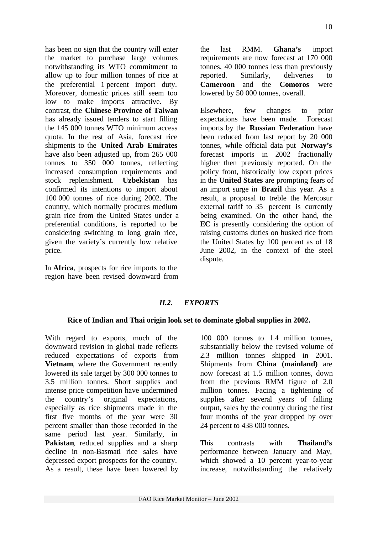has been no sign that the country will enter the market to purchase large volumes notwithstanding its WTO commitment to allow up to four million tonnes of rice at the preferential 1 percent import duty. Moreover, domestic prices still seem too low to make imports attractive. By contrast, the **Chinese Province of Taiwan** has already issued tenders to start filling the 145 000 tonnes WTO minimum access quota. In the rest of Asia, forecast rice shipments to the **United Arab Emirates** have also been adjusted up, from 265 000 tonnes to 350 000 tonnes, reflecting increased consumption requirements and stock replenishment. **Uzbekistan** has confirmed its intentions to import about 100 000 tonnes of rice during 2002. The country, which normally procures medium grain rice from the United States under a preferential conditions, is reported to be considering switching to long grain rice, given the variety's currently low relative price.

In **Africa**, prospects for rice imports to the region have been revised downward from the last RMM. **Ghana's** import requirements are now forecast at 170 000 tonnes, 40 000 tonnes less than previously reported. Similarly, deliveries to **Cameroon** and the **Comoros** were lowered by 50 000 tonnes, overall.

Elsewhere, few changes to prior expectations have been made. Forecast imports by the **Russian Federation** have been reduced from last report by 20 000 tonnes, while official data put **Norway's** forecast imports in 2002 fractionally higher then previously reported. On the policy front, historically low export prices in the **United States** are prompting fears of an import surge in **Brazil** this year. As a result, a proposal to treble the Mercosur external tariff to 35 percent is currently being examined. On the other hand, the **EC** is presently considering the option of raising customs duties on husked rice from the United States by 100 percent as of 18 June 2002, in the context of the steel dispute.

### *II.2. EXPORTS*

#### **Rice of Indian and Thai origin look set to dominate global supplies in 2002.**

With regard to exports, much of the downward revision in global trade reflects reduced expectations of exports from **Vietnam**, where the Government recently lowered its sale target by 300 000 tonnes to 3.5 million tonnes. Short supplies and intense price competition have undermined the country's original expectations, especially as rice shipments made in the first five months of the year were 30 percent smaller than those recorded in the same period last year. Similarly, in **Pakistan**, reduced supplies and a sharp decline in non-Basmati rice sales have depressed export prospects for the country. As a result, these have been lowered by

100 000 tonnes to 1.4 million tonnes, substantially below the revised volume of 2.3 million tonnes shipped in 2001. Shipments from **China (mainland)** are now forecast at 1.5 million tonnes, down from the previous RMM figure of 2.0 million tonnes. Facing a tightening of supplies after several years of falling output, sales by the country during the first four months of the year dropped by over 24 percent to 438 000 tonnes.

This contrasts with **Thailand's** performance between January and May, which showed a 10 percent year-to-year increase, notwithstanding the relatively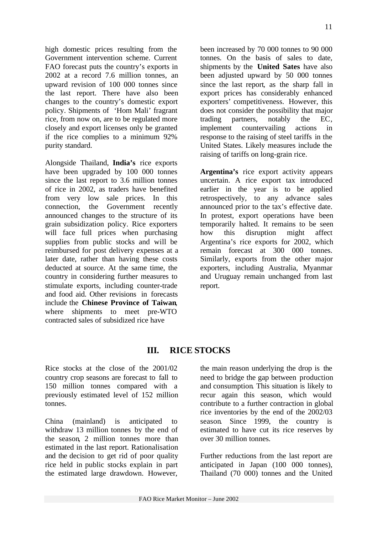high domestic prices resulting from the Government intervention scheme. Current FAO forecast puts the country's exports in 2002 at a record 7.6 million tonnes, an upward revision of 100 000 tonnes since the last report. There have also been changes to the country's domestic export policy. Shipments of 'Hom Mali' fragrant rice, from now on, are to be regulated more closely and export licenses only be granted if the rice complies to a minimum 92% purity standard.

Alongside Thailand, **India's** rice exports have been upgraded by 100 000 tonnes since the last report to 3.6 million tonnes of rice in 2002, as traders have benefited from very low sale prices. In this connection, the Government recently announced changes to the structure of its grain subsidization policy. Rice exporters will face full prices when purchasing supplies from public stocks and will be reimbursed for post delivery expenses at a later date, rather than having these costs deducted at source. At the same time, the country in considering further measures to stimulate exports, including counter-trade and food aid. Other revisions in forecasts include the **Chinese Province of Taiwan**, where shipments to meet pre-WTO contracted sales of subsidized rice have

been increased by 70 000 tonnes to 90 000 tonnes. On the basis of sales to date, shipments by the **United Sates** have also been adjusted upward by 50 000 tonnes since the last report, as the sharp fall in export prices has considerably enhanced exporters' competitiveness. However, this does not consider the possibility that major trading partners, notably the EC, implement countervailing actions in response to the raising of steel tariffs in the United States. Likely measures include the raising of tariffs on long-grain rice.

**Argentina's** rice export activity appears uncertain. A rice export tax introduced earlier in the year is to be applied retrospectively, to any advance sales announced prior to the tax's effective date. In protest, export operations have been temporarily halted. It remains to be seen how this disruption might affect Argentina's rice exports for 2002, which remain forecast at 300 000 tonnes. Similarly, exports from the other major exporters, including Australia, Myanmar and Uruguay remain unchanged from last report.

## **III. RICE STOCKS**

Rice stocks at the close of the 2001/02 country crop seasons are forecast to fall to 150 million tonnes compared with a previously estimated level of 152 million tonnes.

China (mainland) is anticipated to withdraw 13 million tonnes by the end of the season, 2 million tonnes more than estimated in the last report. Rationalisation and the decision to get rid of poor quality rice held in public stocks explain in part the estimated large drawdown. However,

the main reason underlying the drop is the need to bridge the gap between production and consumption. This situation is likely to recur again this season, which would contribute to a further contraction in global rice inventories by the end of the 2002/03 season. Since 1999, the country is estimated to have cut its rice reserves by over 30 million tonnes.

Further reductions from the last report are anticipated in Japan (100 000 tonnes), Thailand (70 000) tonnes and the United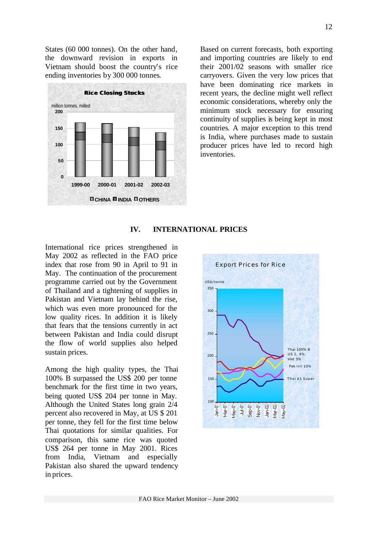States (60 000 tonnes). On the other hand, the downward revision in exports in Vietnam should boost the country's rice ending inventories by 300 000 tonnes.



Based on current forecasts, both exporting and importing countries are likely to end their 2001/02 seasons with smaller rice carryovers. Given the very low prices that have been dominating rice markets in recent years, the decline might well reflect economic considerations, whereby only the minimum stock necessary for ensuring continuity of supplies is being kept in most countries. A major exception to this trend is India, where purchases made to sustain producer prices have led to record high inventories.

### **IV. INTERNATIONAL PRICES**

International rice prices strengthened in May 2002 as reflected in the FAO price index that rose from 90 in April to 91 in May. The continuation of the procurement programme carried out by the Government of Thailand and a tightening of supplies in Pakistan and Vietnam lay behind the rise, which was even more pronounced for the low quality rices. In addition it is likely that fears that the tensions currently in act between Pakistan and India could disrupt the flow of world supplies also helped sustain prices.

Among the high quality types, the Thai 100% B surpassed the US\$ 200 per tonne benchmark for the first time in two years, being quoted US\$ 204 per tonne in May. Although the United States long grain 2/4 percent also recovered in May, at US \$ 201 per tonne, they fell for the first time below Thai quotations for similar qualities. For comparison, this same rice was quoted US\$ 264 per tonne in May 2001. Rices from India, Vietnam and especially Pakistan also shared the upward tendency in prices.

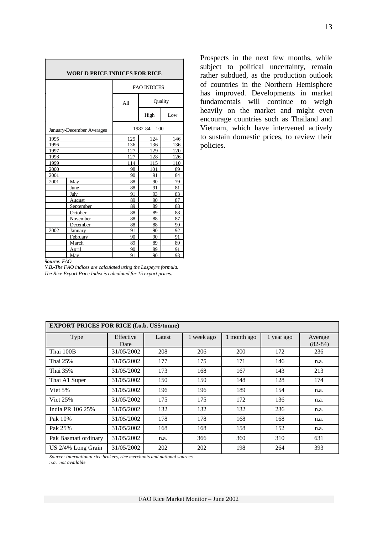| <b>WORLD PRICE INDICES FOR RICE</b> |                             |                    |                   |          |  |  |  |
|-------------------------------------|-----------------------------|--------------------|-------------------|----------|--|--|--|
|                                     |                             | <b>FAO INDICES</b> |                   |          |  |  |  |
|                                     |                             | A11                | Quality           |          |  |  |  |
|                                     |                             |                    | High              | Low      |  |  |  |
|                                     | January-December Averages   |                    | $1982 - 84 = 100$ |          |  |  |  |
| 1995                                |                             | 129                | 124               | 146      |  |  |  |
| 1996                                |                             | 136                | 136               | 136      |  |  |  |
| 1997                                |                             | 127                | 129               | 120      |  |  |  |
| 1998                                |                             | 127                | 128               | 126      |  |  |  |
| 1999                                |                             | 114                | 115               | 110      |  |  |  |
| 2000                                |                             | 98                 | 101               | 89       |  |  |  |
| 2001                                |                             | 90                 | 91<br>84          |          |  |  |  |
| 2001                                | May                         | 88                 | 90                | 79       |  |  |  |
|                                     | June                        | 88                 | 91                | 81       |  |  |  |
|                                     | July                        | 91                 | 93                | 83       |  |  |  |
|                                     | August                      | 89                 | 90                | 87       |  |  |  |
|                                     | September                   | 89                 | 89                | 88       |  |  |  |
|                                     | October                     | 88<br>88           | 89<br>88          | 88<br>87 |  |  |  |
|                                     | <b>November</b><br>December | 88                 | 88                | 90       |  |  |  |
| 2002                                | January                     | 91                 | 90                | 92       |  |  |  |
|                                     | February                    | 90                 | 90                | 91       |  |  |  |
|                                     | March                       | 89                 | 89                | 89       |  |  |  |
|                                     | <u>April</u>                | 90                 | 89                | 91       |  |  |  |
|                                     | May                         | 91                 | 90                | 93       |  |  |  |

Prospects in the next few months, while subject to political uncertainty, remain rather subdued, as the production outlook of countries in the Northern Hemisphere has improved. Developments in market fundamentals will continue to weigh heavily on the market and might even encourage countries such as Thailand and Vietnam, which have intervened actively to sustain domestic prices, to review their policies.

#### *Source: FAO*

*N.B.-The FAO indices are calculated using the Laspeyre formula. The Rice Export Price Index is calculated for 15 export prices.*

| <b>EXPORT PRICES FOR RICE (f.o.b. US\$/tonne)</b> |                   |        |            |             |            |                      |  |  |  |
|---------------------------------------------------|-------------------|--------|------------|-------------|------------|----------------------|--|--|--|
| Type                                              | Effective<br>Date | Latest | 1 week ago | 1 month ago | 1 year ago | Average<br>$(82-84)$ |  |  |  |
| Thai 100B                                         | 31/05/2002        | 208    | 206        | 200         | 172        | 236                  |  |  |  |
| Thai 25%                                          | 31/05/2002        | 177    | 175        | 171         | 146        | n.a.                 |  |  |  |
| Thai 35%                                          | 31/05/2002        | 173    | 168        | 167         | 143        | 213                  |  |  |  |
| Thai A1 Super                                     | 31/05/2002        | 150    | 150        | 148         | 128        | 174                  |  |  |  |
| Viet 5%                                           | 31/05/2002        | 196    | 196        | 189         | 154        | n.a.                 |  |  |  |
| <b>Viet 25%</b>                                   | 31/05/2002        | 175    | 175        | 172         | 136        | n.a.                 |  |  |  |
| India PR 106 25%                                  | 31/05/2002        | 132    | 132        | 132         | 236        | n.a.                 |  |  |  |
| Pak 10%                                           | 31/05/2002        | 178    | 178        | 168         | 168        | n.a.                 |  |  |  |
| Pak 25%                                           | 31/05/2002        | 168    | 168        | 158         | 152        | n.a.                 |  |  |  |
| Pak Basmati ordinary                              | 31/05/2002        | n.a.   | 366        | 360         | 310        | 631                  |  |  |  |
| US 2/4% Long Grain                                | 31/05/2002        | 202    | 202        | 198         | 264        | 393                  |  |  |  |

*Source: International rice brokers, rice merchants and national sources. n.a. not available*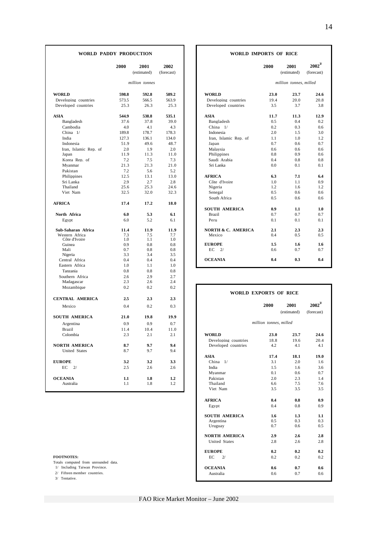|                       | 2000  | 2001<br>(estimated) | 2002<br>(forecast) |                               | 2000                   | 2001<br>(estimated)    | $\boldsymbol{2002}^3$<br>(forecast) |
|-----------------------|-------|---------------------|--------------------|-------------------------------|------------------------|------------------------|-------------------------------------|
|                       |       | million tonnes      |                    |                               |                        | million tonnes, milled |                                     |
| <b>WORLD</b>          | 598.8 | 592.8               | 589.2              | <b>WORLD</b>                  | 23.0                   | 23.7                   | 24.6                                |
| Developing countries  | 573.5 | 566.5               | 563.9              | Developing countries          | 19.4                   | 20.0                   | 20.8                                |
| Developed countries   | 25.3  | 26.3                | 25.3               | Developed countries           | 3.5                    | 3.7                    | 3.8                                 |
| <b>ASIA</b>           | 544.9 | 538.8               | 535.1              | <b>ASIA</b>                   | 11.7                   | 11.3                   | 12.9                                |
| Bangladesh            | 37.6  | 37.8                | 39.0               | Bangladesh                    | 0.5                    | 0.4                    | 0.2                                 |
| Cambodia              | 4.0   | 4.1                 | 4.3                | China 1/                      | 0.2                    | 0.3                    | 0.6                                 |
| China $1/$            | 189.8 | 178.7               | 178.3              | Indonesia                     | 2.0                    | 1.5                    | 3.0                                 |
| India                 | 127.3 | 136.1               | 134.0              | Iran, Islamic Rep. of         | 1.1                    | 1.0                    | 1.2                                 |
| Indonesia             | 51.9  | 49.6                | 48.7               | Japan                         | 0.7                    | 0.6                    | 0.7                                 |
| Iran, Islamic Rep. of | 2.0   | 1.9                 | 2.0                | Malaysia                      | 0.6                    | 0.6                    | 0.6                                 |
| Japan                 | 11.9  | 11.3                | 11.0               | Philippines                   | 0.8                    | 0.9                    | 0.6                                 |
| Korea Rep. of         | 7.2   | 7.5                 | 7.3                | Saudi Arabia                  | 0.4                    | 0.8                    | 0.8                                 |
| Myanmar               | 21.3  | 21.3                | 21.0               | Sri Lanka                     | 0.0                    | 0.1                    | 0.1                                 |
| Pakistan              | 7.2   | 5.6                 | 5.2                |                               |                        |                        |                                     |
| Philippines           | 12.5  | 13.1                | 13.0               | <b>AFRICA</b>                 | 6.3                    | 7.1                    | 6.4                                 |
| Sri Lanka             | 2.9   | 2.7                 | 2.8                | Côte d'Ivoire                 | 1.0                    | 1.1                    | 0.9                                 |
| Thailand              | 25.6  | 25.3                | 24.6               | Nigeria                       | 1.2                    | 1.6                    | 1.2                                 |
| Viet Nam              | 32.5  | 32.0                | 32.3               | Senegal                       | 0.5                    | 0.6                    | 0.6                                 |
|                       |       |                     |                    | South Africa                  | 0.5                    | 0.6                    | 0.6                                 |
| <b>AFRICA</b>         | 17.4  | 17.2                | 18.0               |                               |                        |                        |                                     |
|                       |       |                     |                    | <b>SOUTH AMERICA</b>          | 0.9                    | 1.1                    | 1.0                                 |
| North Africa          | 6.0   | 5.3                 | 6.1                | <b>Brazil</b>                 | 0.7                    | 0.7                    | 0.7                                 |
| Egypt                 | 6.0   | 5.2                 | 6.1                | Peru                          | 0.1                    | 0.1                    | 0.1                                 |
| Sub-Saharan Africa    | 11.4  | 11.9                | 11.9               | <b>NORTH &amp; C. AMERICA</b> | 2.1                    | 2.3                    | 2.3                                 |
| Western Africa        | 7.3   | 7.5                 | 7.7                | Mexico                        | 0.4                    | 0.5                    | 0.5                                 |
| Côte d'Ivoire         | 1.0   | 1.1                 | 1.0                |                               |                        |                        |                                     |
| Guinea                | 0.9   | 0.8                 | 0.8                | <b>EUROPE</b>                 | 1.5                    | 1.6                    | 1.6                                 |
| Mali                  | 0.7   | 0.8                 | 0.8                | EC<br>2/                      | 0.6                    | 0.7                    | 0.7                                 |
| Nigeria               | 3.3   | 3.4                 | 3.5                |                               |                        |                        |                                     |
| Central Africa        | 0.4   | 0.4                 | 0.4                | <b>OCEANIA</b>                | 0.4                    | 0.3                    | 0.4                                 |
| Eastern Africa        | 1.0   | 1.1                 | 1.0                |                               |                        |                        |                                     |
| Tanzania              | 0.8   | 0.8                 | 0.8                |                               |                        |                        |                                     |
| Southern Africa       | 2.6   | 2.9                 | 2.7                |                               |                        |                        |                                     |
| Madagascar            | 2.3   | 2.6                 | 2.4                |                               |                        |                        |                                     |
| Mozambique            | 0.2   | 0.2                 | 0.2                | <b>WORLD EXPORTS OF RICE</b>  |                        |                        |                                     |
| CENTRAL AMERICA       | 2.5   | 2.3                 | 2.3                |                               |                        |                        |                                     |
| Mexico                | 0.4   | 0.2                 | 0.3                |                               | 2000                   | 2001<br>(estimated)    | $2002^3$<br>(forecast)              |
| <b>SOUTH AMERICA</b>  | 21.0  | 19.8                | 19.9               |                               |                        |                        |                                     |
| Argentina             | 0.9   | 0.9                 | 0.7                |                               | million tonnes, milled |                        |                                     |
| <b>Brazil</b>         | 11.4  | 10.4                | 11.0               |                               |                        |                        |                                     |
| Colombia              | 2.3   | 2.1                 | 2.1                | <b>WORLD</b>                  | 23.0                   | 23.7                   | 24.6                                |
|                       |       |                     |                    | Developing countries          | 18.8                   | 19.6                   | 20.4                                |
| <b>NORTH AMERICA</b>  | 8.7   | 9.7                 | 9.4                | Developed countries           | 4.2                    | 4.1                    | 4.1                                 |
| United States         | 8.7   | 9.7                 | 9.4                |                               |                        |                        |                                     |
|                       |       |                     |                    | <b>ASIA</b>                   | 17.4                   | 18.1                   | 19.0                                |
| <b>EUROPE</b>         | 3.2   | 3.2                 | 3.3                | China $1/$                    | 3.1                    | 2.0                    | 1.6                                 |
| $EC$ $2/$             | 2.5   | 2.6                 | 2.6                | India                         | 1.5                    | 1.6                    | 3.6                                 |
|                       |       |                     |                    | Myanmar                       | 0.1                    | 0.6                    | 0.7                                 |
| <b>OCEANIA</b>        |       |                     |                    | Pakistan                      | 2.0                    |                        |                                     |
| Australia             | 1.1   | 1.8                 | 1.2                | Thailand                      |                        | 2.3                    | 1.4                                 |
|                       | 1.1   | 1.8                 | 1.2                |                               | 6.6                    | 7.5                    | 7.6                                 |
|                       |       |                     |                    | Viet Nam                      | 3.5                    | 3.5                    | 3.5                                 |

#### WORLD PADDY PRODUCTION WORLD IMPORTS OF RICE

|                | 2001<br>(estimated) | 2002<br>(forecast)    |                               | 2000 | 2001<br>(estimated)    | 2002 <sup>3</sup><br>(forecast) |
|----------------|---------------------|-----------------------|-------------------------------|------|------------------------|---------------------------------|
|                | million tonnes      |                       |                               |      | million tonnes, milled |                                 |
|                | 592.8               | 589.2                 | <b>WORLD</b>                  | 23.0 | 23.7                   | 24.6                            |
|                | 566.5               | 563.9                 | Developing countries          | 19.4 | 20.0                   | 20.8                            |
| 26.3           |                     | 25.3                  | Developed countries           | 3.5  | 3.7                    | 3.8                             |
| 538.8          |                     | 535.1                 | <b>ASIA</b>                   | 11.7 | 11.3                   | 12.9                            |
|                | 37.8                | 39.0                  | Bangladesh                    | 0.5  | 0.4                    | 0.2                             |
| 4.1            |                     | 4.3                   | China $1/$                    | 0.2  | 0.3                    | 0.6                             |
|                | 178.7               | 178.3                 | Indonesia                     | 2.0  | 1.5                    | 3.0                             |
|                | 136.1               | 134.0                 | Iran, Islamic Rep. of         | 1.1  | 1.0                    | 1.2                             |
|                | 49.6                | 48.7                  | Japan                         | 0.7  | 0.6                    | 0.7                             |
|                | 1.9                 | 2.0                   | Malaysia                      | 0.6  | 0.6                    | 0.6                             |
|                | 11.3                | 11.0                  | Philippines                   | 0.8  | 0.9                    | 0.6                             |
|                | 7.5                 | 7.3                   | Saudi Arabia                  | 0.4  | 0.8                    | 0.8                             |
| 21.3           |                     | 21.0                  | Sri Lanka                     | 0.0  | 0.1                    | 0.1                             |
| 5.6            |                     | 5.2                   |                               |      |                        |                                 |
| 13.1           |                     | 13.0                  | <b>AFRICA</b>                 | 6.3  | 7.1                    | 6.4                             |
|                | 2.7                 | 2.8                   | Côte d'Ivoire                 | 1.0  | 1.1                    | 0.9                             |
|                | 25.3                | 24.6                  | Nigeria                       | 1.2  | 1.6                    | 1.2                             |
|                | 32.0                | 32.3                  | Senegal                       | 0.5  | 0.6                    | 0.6                             |
|                |                     |                       | South Africa                  | 0.5  | 0.6                    | 0.6                             |
| 17.2           |                     | 18.0                  |                               |      |                        |                                 |
|                |                     |                       | <b>SOUTH AMERICA</b>          | 0.9  | 1.1                    | 1.0                             |
|                | 5.3                 | 6.1                   | <b>Brazil</b>                 | 0.7  | 0.7                    | 0.7                             |
|                | 5.2                 | 6.1                   | Peru                          | 0.1  | 0.1                    | 0.1                             |
|                | 11.9                | 11.9                  | <b>NORTH &amp; C. AMERICA</b> | 2.1  | 2.3                    | 2.3                             |
|                | 7.5                 | 7.7                   | Mexico                        | 0.4  | 0.5                    | 0.5                             |
|                | 1.1                 | 1.0                   |                               |      |                        |                                 |
|                | 0.8                 | 0.8                   | <b>EUROPE</b>                 | 1.5  | 1.6                    | 1.6                             |
|                | 0.8                 | 0.8                   | EC<br>2/                      | 0.6  | 0.7                    | 0.7                             |
|                | 3.4                 | 3.5                   | <b>OCEANIA</b>                | 0.4  | 0.3                    | 0.4                             |
|                | 0.4<br>11           | 0.4<br>1 <sub>0</sub> |                               |      |                        |                                 |
| 1 <sub>0</sub> |                     |                       |                               |      |                        |                                 |

| Mozambique                                    | 0.2  | 0.2  | 0.2  |                      | <b>WORLD EXPORTS OF RICE</b> |      |            |
|-----------------------------------------------|------|------|------|----------------------|------------------------------|------|------------|
| CENTRAL AMERICA                               | 2.5  | 2.3  | 2.3  |                      |                              |      |            |
| Mexico                                        | 0.4  | 0.2  | 0.3  |                      | 2000                         | 2001 | $2002^3$   |
|                                               |      |      |      |                      | (estimated)                  |      | (forecast) |
| SOUTH AMERICA                                 | 21.0 | 19.8 | 19.9 |                      |                              |      |            |
| Argentina                                     | 0.9  | 0.9  | 0.7  |                      | million tonnes, milled       |      |            |
| Brazil                                        | 11.4 | 10.4 | 11.0 |                      |                              |      |            |
| Colombia                                      | 2.3  | 2.1  | 2.1  | <b>WORLD</b>         | 23.0                         | 23.7 | 24.6       |
|                                               |      |      |      | Developing countries | 18.8                         | 19.6 | 20.4       |
| <b>NORTH AMERICA</b>                          | 8.7  | 9.7  | 9.4  | Developed countries  | 4.2                          | 4.1  | 4.1        |
| <b>United States</b>                          | 8.7  | 9.7  | 9.4  |                      |                              |      |            |
|                                               |      |      |      | <b>ASIA</b>          | 17.4                         | 18.1 | 19.0       |
| <b>EUROPE</b>                                 | 3.2  | 3.2  | 3.3  | China $1/$           | 3.1                          | 2.0  | 1.6        |
| $EC$ 2/                                       | 2.5  | 2.6  | 2.6  | India                | 1.5                          | 1.6  | 3.6        |
|                                               |      |      |      | Myanmar              | 0.1                          | 0.6  | 0.7        |
| <b>OCEANIA</b>                                | 1.1  | 1.8  | 1.2  | Pakistan             | 2.0                          | 2.3  | 1.4        |
| Australia                                     | 1.1  | 1.8  | 1.2  | Thailand             | 6.6                          | 7.5  | 7.6        |
|                                               |      |      |      | Viet Nam             | 3.5                          | 3.5  | 3.5        |
|                                               |      |      |      | <b>AFRICA</b>        | 0.4                          | 0.8  | 0.9        |
|                                               |      |      |      | Egypt                | 0.4                          | 0.8  | 0.9        |
|                                               |      |      |      | <b>SOUTH AMERICA</b> | 1.6                          | 1.3  | 1.1        |
|                                               |      |      |      | Argentina            | 0.5                          | 0.3  | 0.3        |
|                                               |      |      |      | Uruguay              | 0.7                          | 0.6  | 0.5        |
|                                               |      |      |      | <b>NORTH AMERICA</b> | 2.9                          | 2.6  | 2.8        |
|                                               |      |      |      | <b>United States</b> | 2.8                          | 2.6  | 2.8        |
|                                               |      |      |      | <b>EUROPE</b>        | 0.2                          | 0.2  | 0.2        |
| <b>FOOTNOTES:</b>                             |      |      |      | EC<br>2/             | 0.2                          | 0.2  | 0.2        |
| Totals computed from unrounded data.          |      |      |      |                      |                              |      |            |
| 1/ Including Taiwan Province.                 |      |      |      | <b>OCEANIA</b>       | 0.6                          | 0.7  | 0.6        |
| 2/ Fifteen member countries.<br>3/ Tentative. |      |      |      | Australia            | 0.6                          | 0.7  | 0.6        |